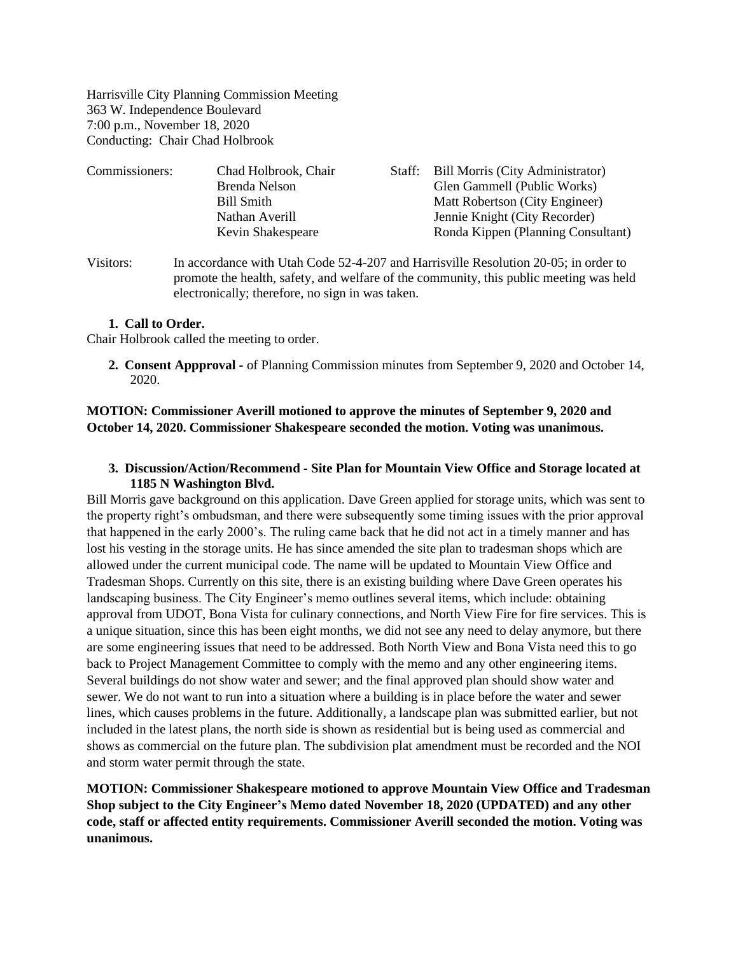Harrisville City Planning Commission Meeting 363 W. Independence Boulevard 7:00 p.m., November 18, 2020 Conducting: Chair Chad Holbrook

| Commissioners: | Chad Holbrook, Chair | Staff: Bill Morris (City Administrator) |
|----------------|----------------------|-----------------------------------------|
|                | Brenda Nelson        | Glen Gammell (Public Works)             |
|                | Bill Smith           | Matt Robertson (City Engineer)          |
|                | Nathan Averill       | Jennie Knight (City Recorder)           |
|                | Kevin Shakespeare    | Ronda Kippen (Planning Consultant)      |
|                |                      |                                         |

Visitors: In accordance with Utah Code 52-4-207 and Harrisville Resolution 20-05; in order to promote the health, safety, and welfare of the community, this public meeting was held electronically; therefore, no sign in was taken.

#### **1. Call to Order.**

Chair Holbrook called the meeting to order.

**2. Consent Appproval -** of Planning Commission minutes from September 9, 2020 and October 14, 2020.

# **MOTION: Commissioner Averill motioned to approve the minutes of September 9, 2020 and October 14, 2020. Commissioner Shakespeare seconded the motion. Voting was unanimous.**

#### **3. Discussion/Action/Recommend - Site Plan for Mountain View Office and Storage located at 1185 N Washington Blvd.**

Bill Morris gave background on this application. Dave Green applied for storage units, which was sent to the property right's ombudsman, and there were subsequently some timing issues with the prior approval that happened in the early 2000's. The ruling came back that he did not act in a timely manner and has lost his vesting in the storage units. He has since amended the site plan to tradesman shops which are allowed under the current municipal code. The name will be updated to Mountain View Office and Tradesman Shops. Currently on this site, there is an existing building where Dave Green operates his landscaping business. The City Engineer's memo outlines several items, which include: obtaining approval from UDOT, Bona Vista for culinary connections, and North View Fire for fire services. This is a unique situation, since this has been eight months, we did not see any need to delay anymore, but there are some engineering issues that need to be addressed. Both North View and Bona Vista need this to go back to Project Management Committee to comply with the memo and any other engineering items. Several buildings do not show water and sewer; and the final approved plan should show water and sewer. We do not want to run into a situation where a building is in place before the water and sewer lines, which causes problems in the future. Additionally, a landscape plan was submitted earlier, but not included in the latest plans, the north side is shown as residential but is being used as commercial and shows as commercial on the future plan. The subdivision plat amendment must be recorded and the NOI and storm water permit through the state.

**MOTION: Commissioner Shakespeare motioned to approve Mountain View Office and Tradesman Shop subject to the City Engineer's Memo dated November 18, 2020 (UPDATED) and any other code, staff or affected entity requirements. Commissioner Averill seconded the motion. Voting was unanimous.**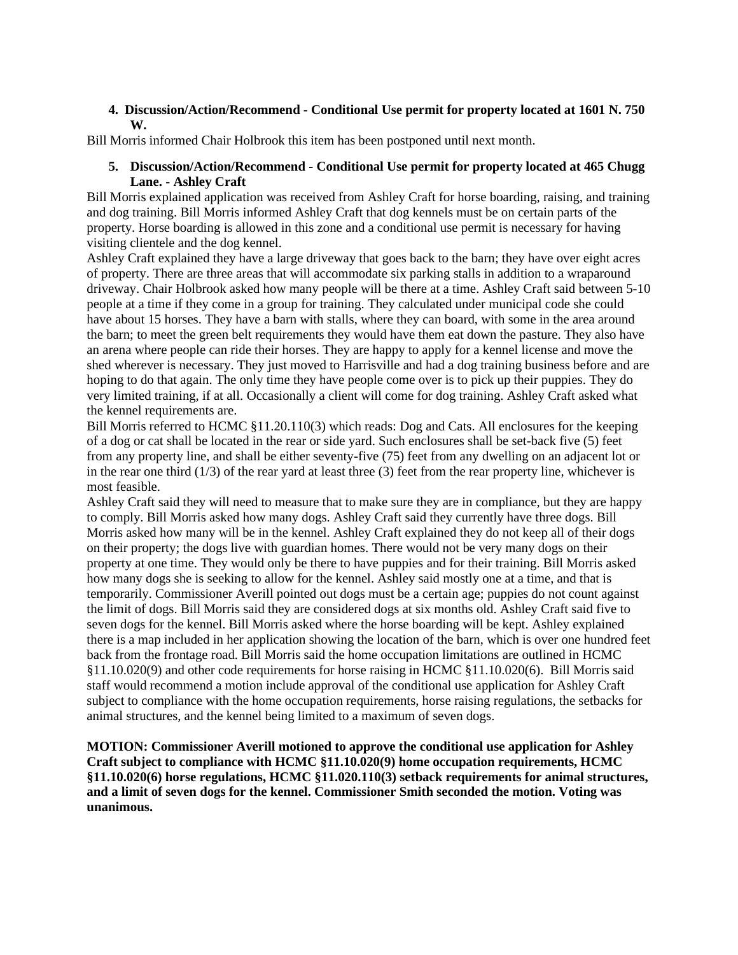# **4. Discussion/Action/Recommend - Conditional Use permit for property located at 1601 N. 750 W.**

Bill Morris informed Chair Holbrook this item has been postponed until next month.

### **5. Discussion/Action/Recommend - Conditional Use permit for property located at 465 Chugg Lane. - Ashley Craft**

Bill Morris explained application was received from Ashley Craft for horse boarding, raising, and training and dog training. Bill Morris informed Ashley Craft that dog kennels must be on certain parts of the property. Horse boarding is allowed in this zone and a conditional use permit is necessary for having visiting clientele and the dog kennel.

Ashley Craft explained they have a large driveway that goes back to the barn; they have over eight acres of property. There are three areas that will accommodate six parking stalls in addition to a wraparound driveway. Chair Holbrook asked how many people will be there at a time. Ashley Craft said between 5-10 people at a time if they come in a group for training. They calculated under municipal code she could have about 15 horses. They have a barn with stalls, where they can board, with some in the area around the barn; to meet the green belt requirements they would have them eat down the pasture. They also have an arena where people can ride their horses. They are happy to apply for a kennel license and move the shed wherever is necessary. They just moved to Harrisville and had a dog training business before and are hoping to do that again. The only time they have people come over is to pick up their puppies. They do very limited training, if at all. Occasionally a client will come for dog training. Ashley Craft asked what the kennel requirements are.

Bill Morris referred to HCMC §11.20.110(3) which reads: Dog and Cats. All enclosures for the keeping of a dog or cat shall be located in the rear or side yard. Such enclosures shall be set-back five (5) feet from any property line, and shall be either seventy-five (75) feet from any dwelling on an adjacent lot or in the rear one third  $(1/3)$  of the rear yard at least three  $(3)$  feet from the rear property line, whichever is most feasible.

Ashley Craft said they will need to measure that to make sure they are in compliance, but they are happy to comply. Bill Morris asked how many dogs. Ashley Craft said they currently have three dogs. Bill Morris asked how many will be in the kennel. Ashley Craft explained they do not keep all of their dogs on their property; the dogs live with guardian homes. There would not be very many dogs on their property at one time. They would only be there to have puppies and for their training. Bill Morris asked how many dogs she is seeking to allow for the kennel. Ashley said mostly one at a time, and that is temporarily. Commissioner Averill pointed out dogs must be a certain age; puppies do not count against the limit of dogs. Bill Morris said they are considered dogs at six months old. Ashley Craft said five to seven dogs for the kennel. Bill Morris asked where the horse boarding will be kept. Ashley explained there is a map included in her application showing the location of the barn, which is over one hundred feet back from the frontage road. Bill Morris said the home occupation limitations are outlined in HCMC §11.10.020(9) and other code requirements for horse raising in HCMC §11.10.020(6). Bill Morris said staff would recommend a motion include approval of the conditional use application for Ashley Craft subject to compliance with the home occupation requirements, horse raising regulations, the setbacks for animal structures, and the kennel being limited to a maximum of seven dogs.

**MOTION: Commissioner Averill motioned to approve the conditional use application for Ashley Craft subject to compliance with HCMC §11.10.020(9) home occupation requirements, HCMC §11.10.020(6) horse regulations, HCMC §11.020.110(3) setback requirements for animal structures, and a limit of seven dogs for the kennel. Commissioner Smith seconded the motion. Voting was unanimous.**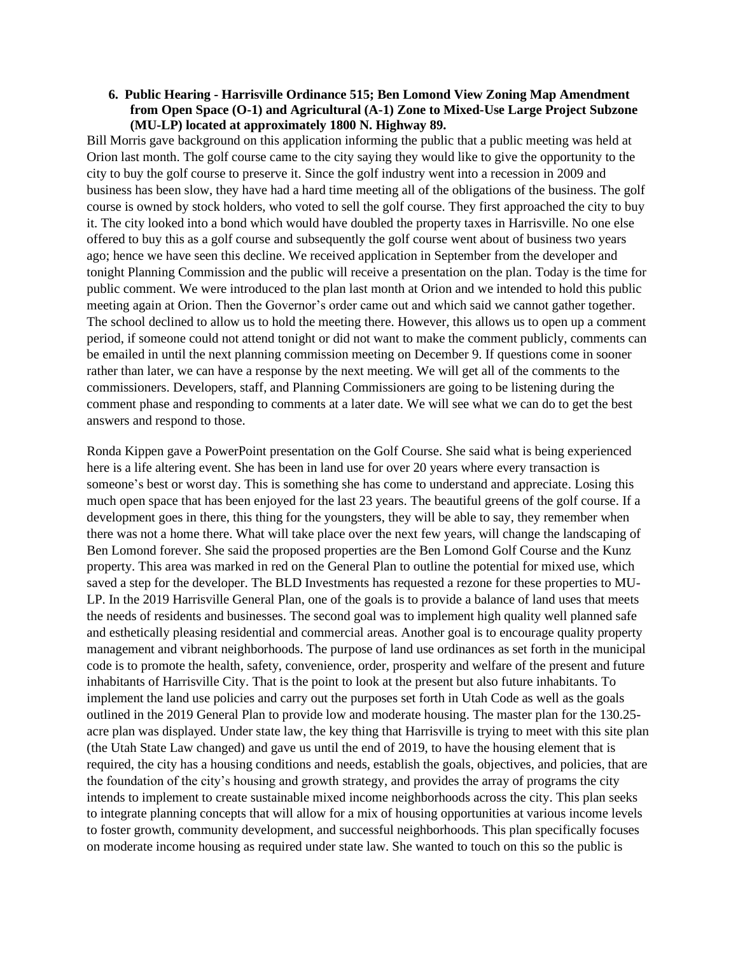### **6. Public Hearing - Harrisville Ordinance 515; Ben Lomond View Zoning Map Amendment from Open Space (O-1) and Agricultural (A-1) Zone to Mixed-Use Large Project Subzone (MU-LP) located at approximately 1800 N. Highway 89.**

Bill Morris gave background on this application informing the public that a public meeting was held at Orion last month. The golf course came to the city saying they would like to give the opportunity to the city to buy the golf course to preserve it. Since the golf industry went into a recession in 2009 and business has been slow, they have had a hard time meeting all of the obligations of the business. The golf course is owned by stock holders, who voted to sell the golf course. They first approached the city to buy it. The city looked into a bond which would have doubled the property taxes in Harrisville. No one else offered to buy this as a golf course and subsequently the golf course went about of business two years ago; hence we have seen this decline. We received application in September from the developer and tonight Planning Commission and the public will receive a presentation on the plan. Today is the time for public comment. We were introduced to the plan last month at Orion and we intended to hold this public meeting again at Orion. Then the Governor's order came out and which said we cannot gather together. The school declined to allow us to hold the meeting there. However, this allows us to open up a comment period, if someone could not attend tonight or did not want to make the comment publicly, comments can be emailed in until the next planning commission meeting on December 9. If questions come in sooner rather than later, we can have a response by the next meeting. We will get all of the comments to the commissioners. Developers, staff, and Planning Commissioners are going to be listening during the comment phase and responding to comments at a later date. We will see what we can do to get the best answers and respond to those.

Ronda Kippen gave a PowerPoint presentation on the Golf Course. She said what is being experienced here is a life altering event. She has been in land use for over 20 years where every transaction is someone's best or worst day. This is something she has come to understand and appreciate. Losing this much open space that has been enjoyed for the last 23 years. The beautiful greens of the golf course. If a development goes in there, this thing for the youngsters, they will be able to say, they remember when there was not a home there. What will take place over the next few years, will change the landscaping of Ben Lomond forever. She said the proposed properties are the Ben Lomond Golf Course and the Kunz property. This area was marked in red on the General Plan to outline the potential for mixed use, which saved a step for the developer. The BLD Investments has requested a rezone for these properties to MU-LP. In the 2019 Harrisville General Plan, one of the goals is to provide a balance of land uses that meets the needs of residents and businesses. The second goal was to implement high quality well planned safe and esthetically pleasing residential and commercial areas. Another goal is to encourage quality property management and vibrant neighborhoods. The purpose of land use ordinances as set forth in the municipal code is to promote the health, safety, convenience, order, prosperity and welfare of the present and future inhabitants of Harrisville City. That is the point to look at the present but also future inhabitants. To implement the land use policies and carry out the purposes set forth in Utah Code as well as the goals outlined in the 2019 General Plan to provide low and moderate housing. The master plan for the 130.25 acre plan was displayed. Under state law, the key thing that Harrisville is trying to meet with this site plan (the Utah State Law changed) and gave us until the end of 2019, to have the housing element that is required, the city has a housing conditions and needs, establish the goals, objectives, and policies, that are the foundation of the city's housing and growth strategy, and provides the array of programs the city intends to implement to create sustainable mixed income neighborhoods across the city. This plan seeks to integrate planning concepts that will allow for a mix of housing opportunities at various income levels to foster growth, community development, and successful neighborhoods. This plan specifically focuses on moderate income housing as required under state law. She wanted to touch on this so the public is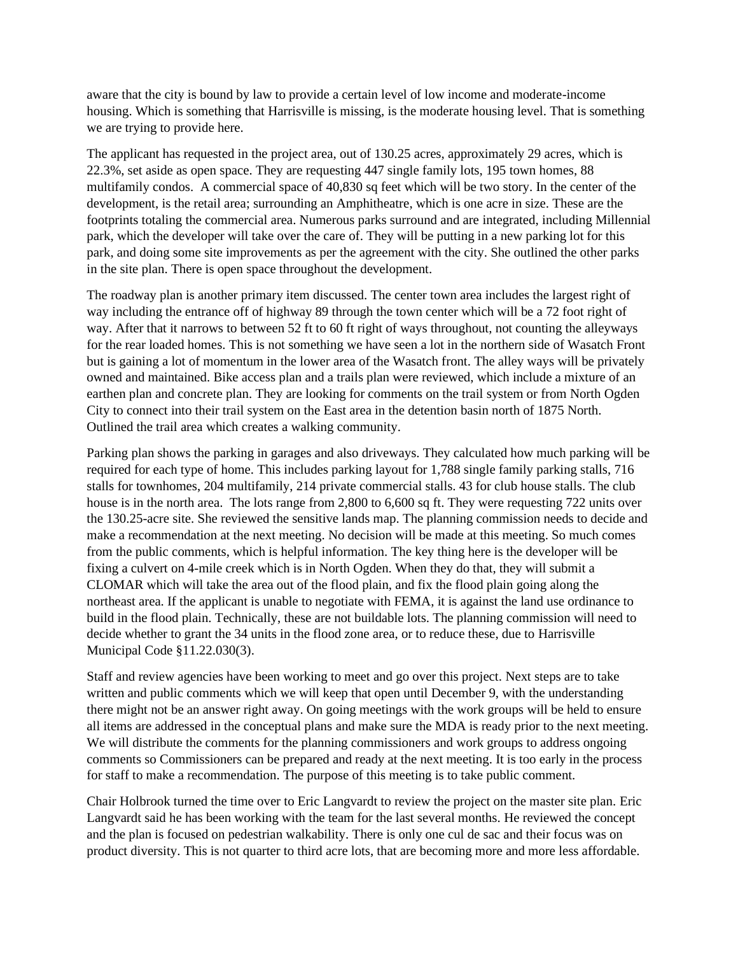aware that the city is bound by law to provide a certain level of low income and moderate-income housing. Which is something that Harrisville is missing, is the moderate housing level. That is something we are trying to provide here.

The applicant has requested in the project area, out of 130.25 acres, approximately 29 acres, which is 22.3%, set aside as open space. They are requesting 447 single family lots, 195 town homes, 88 multifamily condos. A commercial space of 40,830 sq feet which will be two story. In the center of the development, is the retail area; surrounding an Amphitheatre, which is one acre in size. These are the footprints totaling the commercial area. Numerous parks surround and are integrated, including Millennial park, which the developer will take over the care of. They will be putting in a new parking lot for this park, and doing some site improvements as per the agreement with the city. She outlined the other parks in the site plan. There is open space throughout the development.

The roadway plan is another primary item discussed. The center town area includes the largest right of way including the entrance off of highway 89 through the town center which will be a 72 foot right of way. After that it narrows to between 52 ft to 60 ft right of ways throughout, not counting the alleyways for the rear loaded homes. This is not something we have seen a lot in the northern side of Wasatch Front but is gaining a lot of momentum in the lower area of the Wasatch front. The alley ways will be privately owned and maintained. Bike access plan and a trails plan were reviewed, which include a mixture of an earthen plan and concrete plan. They are looking for comments on the trail system or from North Ogden City to connect into their trail system on the East area in the detention basin north of 1875 North. Outlined the trail area which creates a walking community.

Parking plan shows the parking in garages and also driveways. They calculated how much parking will be required for each type of home. This includes parking layout for 1,788 single family parking stalls, 716 stalls for townhomes, 204 multifamily, 214 private commercial stalls. 43 for club house stalls. The club house is in the north area. The lots range from 2,800 to 6,600 sq ft. They were requesting 722 units over the 130.25-acre site. She reviewed the sensitive lands map. The planning commission needs to decide and make a recommendation at the next meeting. No decision will be made at this meeting. So much comes from the public comments, which is helpful information. The key thing here is the developer will be fixing a culvert on 4-mile creek which is in North Ogden. When they do that, they will submit a CLOMAR which will take the area out of the flood plain, and fix the flood plain going along the northeast area. If the applicant is unable to negotiate with FEMA, it is against the land use ordinance to build in the flood plain. Technically, these are not buildable lots. The planning commission will need to decide whether to grant the 34 units in the flood zone area, or to reduce these, due to Harrisville Municipal Code §11.22.030(3).

Staff and review agencies have been working to meet and go over this project. Next steps are to take written and public comments which we will keep that open until December 9, with the understanding there might not be an answer right away. On going meetings with the work groups will be held to ensure all items are addressed in the conceptual plans and make sure the MDA is ready prior to the next meeting. We will distribute the comments for the planning commissioners and work groups to address ongoing comments so Commissioners can be prepared and ready at the next meeting. It is too early in the process for staff to make a recommendation. The purpose of this meeting is to take public comment.

Chair Holbrook turned the time over to Eric Langvardt to review the project on the master site plan. Eric Langvardt said he has been working with the team for the last several months. He reviewed the concept and the plan is focused on pedestrian walkability. There is only one cul de sac and their focus was on product diversity. This is not quarter to third acre lots, that are becoming more and more less affordable.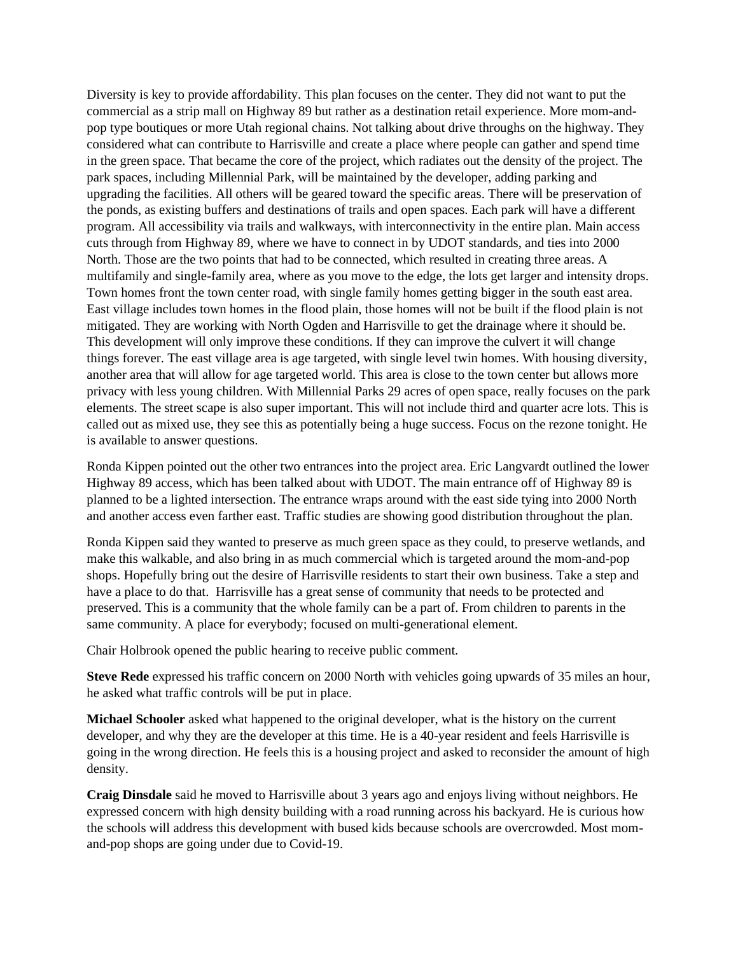Diversity is key to provide affordability. This plan focuses on the center. They did not want to put the commercial as a strip mall on Highway 89 but rather as a destination retail experience. More mom-andpop type boutiques or more Utah regional chains. Not talking about drive throughs on the highway. They considered what can contribute to Harrisville and create a place where people can gather and spend time in the green space. That became the core of the project, which radiates out the density of the project. The park spaces, including Millennial Park, will be maintained by the developer, adding parking and upgrading the facilities. All others will be geared toward the specific areas. There will be preservation of the ponds, as existing buffers and destinations of trails and open spaces. Each park will have a different program. All accessibility via trails and walkways, with interconnectivity in the entire plan. Main access cuts through from Highway 89, where we have to connect in by UDOT standards, and ties into 2000 North. Those are the two points that had to be connected, which resulted in creating three areas. A multifamily and single-family area, where as you move to the edge, the lots get larger and intensity drops. Town homes front the town center road, with single family homes getting bigger in the south east area. East village includes town homes in the flood plain, those homes will not be built if the flood plain is not mitigated. They are working with North Ogden and Harrisville to get the drainage where it should be. This development will only improve these conditions. If they can improve the culvert it will change things forever. The east village area is age targeted, with single level twin homes. With housing diversity, another area that will allow for age targeted world. This area is close to the town center but allows more privacy with less young children. With Millennial Parks 29 acres of open space, really focuses on the park elements. The street scape is also super important. This will not include third and quarter acre lots. This is called out as mixed use, they see this as potentially being a huge success. Focus on the rezone tonight. He is available to answer questions.

Ronda Kippen pointed out the other two entrances into the project area. Eric Langvardt outlined the lower Highway 89 access, which has been talked about with UDOT. The main entrance off of Highway 89 is planned to be a lighted intersection. The entrance wraps around with the east side tying into 2000 North and another access even farther east. Traffic studies are showing good distribution throughout the plan.

Ronda Kippen said they wanted to preserve as much green space as they could, to preserve wetlands, and make this walkable, and also bring in as much commercial which is targeted around the mom-and-pop shops. Hopefully bring out the desire of Harrisville residents to start their own business. Take a step and have a place to do that. Harrisville has a great sense of community that needs to be protected and preserved. This is a community that the whole family can be a part of. From children to parents in the same community. A place for everybody; focused on multi-generational element.

Chair Holbrook opened the public hearing to receive public comment.

**Steve Rede** expressed his traffic concern on 2000 North with vehicles going upwards of 35 miles an hour, he asked what traffic controls will be put in place.

**Michael Schooler** asked what happened to the original developer, what is the history on the current developer, and why they are the developer at this time. He is a 40-year resident and feels Harrisville is going in the wrong direction. He feels this is a housing project and asked to reconsider the amount of high density.

**Craig Dinsdale** said he moved to Harrisville about 3 years ago and enjoys living without neighbors. He expressed concern with high density building with a road running across his backyard. He is curious how the schools will address this development with bused kids because schools are overcrowded. Most momand-pop shops are going under due to Covid-19.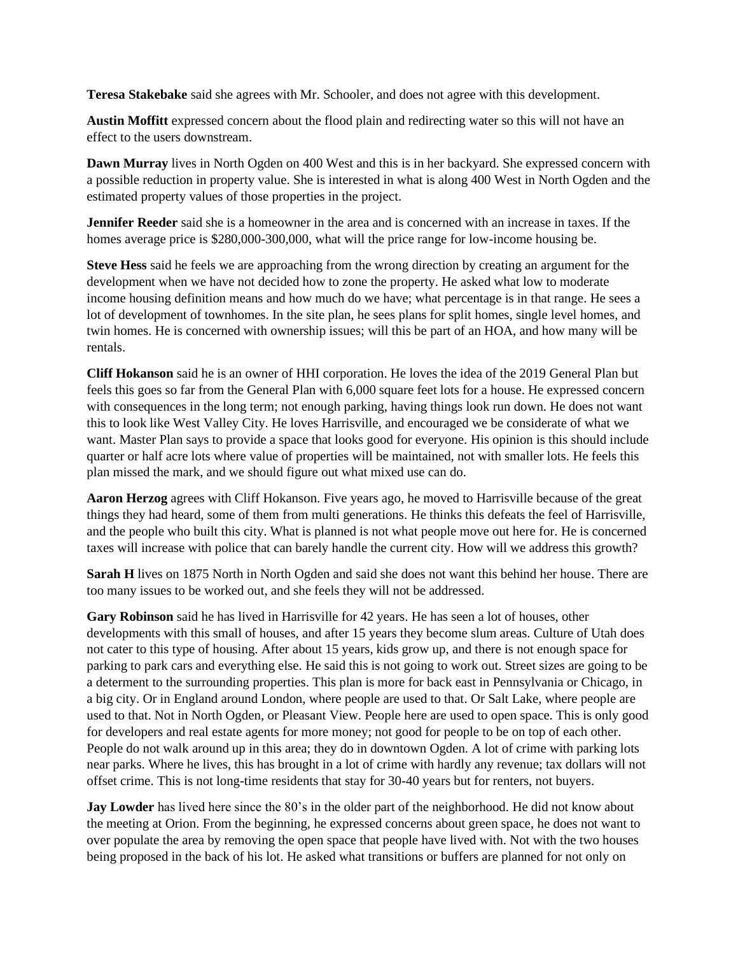**Teresa Stakebake** said she agrees with Mr. Schooler, and does not agree with this development.

**Austin Moffitt** expressed concern about the flood plain and redirecting water so this will not have an effect to the users downstream.

**Dawn Murray** lives in North Ogden on 400 West and this is in her backyard. She expressed concern with a possible reduction in property value. She is interested in what is along 400 West in North Ogden and the estimated property values of those properties in the project.

**Jennifer Reeder** said she is a homeowner in the area and is concerned with an increase in taxes. If the homes average price is \$280,000-300,000, what will the price range for low-income housing be.

**Steve Hess** said he feels we are approaching from the wrong direction by creating an argument for the development when we have not decided how to zone the property. He asked what low to moderate income housing definition means and how much do we have; what percentage is in that range. He sees a lot of development of townhomes. In the site plan, he sees plans for split homes, single level homes, and twin homes. He is concerned with ownership issues; will this be part of an HOA, and how many will be rentals.

**Cliff Hokanson** said he is an owner of HHI corporation. He loves the idea of the 2019 General Plan but feels this goes so far from the General Plan with 6,000 square feet lots for a house. He expressed concern with consequences in the long term; not enough parking, having things look run down. He does not want this to look like West Valley City. He loves Harrisville, and encouraged we be considerate of what we want. Master Plan says to provide a space that looks good for everyone. His opinion is this should include quarter or half acre lots where value of properties will be maintained, not with smaller lots. He feels this plan missed the mark, and we should figure out what mixed use can do.

**Aaron Herzog** agrees with Cliff Hokanson. Five years ago, he moved to Harrisville because of the great things they had heard, some of them from multi generations. He thinks this defeats the feel of Harrisville, and the people who built this city. What is planned is not what people move out here for. He is concerned taxes will increase with police that can barely handle the current city. How will we address this growth?

**Sarah H** lives on 1875 North in North Ogden and said she does not want this behind her house. There are too many issues to be worked out, and she feels they will not be addressed.

**Gary Robinson** said he has lived in Harrisville for 42 years. He has seen a lot of houses, other developments with this small of houses, and after 15 years they become slum areas. Culture of Utah does not cater to this type of housing. After about 15 years, kids grow up, and there is not enough space for parking to park cars and everything else. He said this is not going to work out. Street sizes are going to be a determent to the surrounding properties. This plan is more for back east in Pennsylvania or Chicago, in a big city. Or in England around London, where people are used to that. Or Salt Lake, where people are used to that. Not in North Ogden, or Pleasant View. People here are used to open space. This is only good for developers and real estate agents for more money; not good for people to be on top of each other. People do not walk around up in this area; they do in downtown Ogden. A lot of crime with parking lots near parks. Where he lives, this has brought in a lot of crime with hardly any revenue; tax dollars will not offset crime. This is not long-time residents that stay for 30-40 years but for renters, not buyers.

**Jay Lowder** has lived here since the 80's in the older part of the neighborhood. He did not know about the meeting at Orion. From the beginning, he expressed concerns about green space, he does not want to over populate the area by removing the open space that people have lived with. Not with the two houses being proposed in the back of his lot. He asked what transitions or buffers are planned for not only on